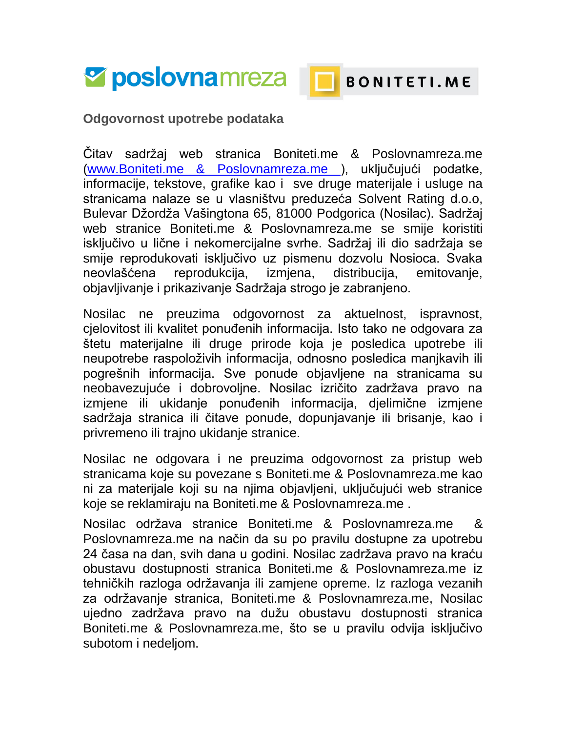



## BONITETI.ME

**Odgovornost upotrebe podataka**

Čitav sadržaj web stranica Boniteti.me & Poslovnamreza.me [\(www.Boniteti.me & Poslovnamreza.me \)](http://www.boniteti.me/), uključujući podatke, informacije, tekstove, grafike kao i sve druge materijale i usluge na stranicama nalaze se u vlasništvu preduzeća Solvent Rating d.o.o, Bulevar Džordža Vašingtona 65, 81000 Podgorica (Nosilac). Sadržaj web stranice Boniteti.me & Poslovnamreza.me se smije koristiti isključivo u lične i nekomercijalne svrhe. Sadržaj ili dio sadržaja se smije reprodukovati isključivo uz pismenu dozvolu Nosioca. Svaka neovlašćena reprodukcija, izmjena, distribucija, emitovanje, objavljivanje i prikazivanje Sadržaja strogo je zabranjeno.

Nosilac ne preuzima odgovornost za aktuelnost, ispravnost, cjelovitost ili kvalitet ponuđenih informacija. Isto tako ne odgovara za štetu materijalne ili druge prirode koja je posledica upotrebe ili neupotrebe raspoloživih informacija, odnosno posledica manjkavih ili pogrešnih informacija. Sve ponude objavljene na stranicama su neobavezujuće i dobrovoljne. Nosilac izričito zadržava pravo na izmjene ili ukidanje ponuđenih informacija, djelimične izmjene sadržaja stranica ili čitave ponude, dopunjavanje ili brisanje, kao i privremeno ili trajno ukidanje stranice.

Nosilac ne odgovara i ne preuzima odgovornost za pristup web stranicama koje su povezane s Boniteti.me & Poslovnamreza.me kao ni za materijale koji su na njima objavljeni, uključujući web stranice koje se reklamiraju na Boniteti.me & Poslovnamreza.me .

Nosilac održava stranice Boniteti.me & Poslovnamreza.me & Poslovnamreza.me na način da su po pravilu dostupne za upotrebu 24 časa na dan, svih dana u godini. Nosilac zadržava pravo na kraću obustavu dostupnosti stranica Boniteti.me & Poslovnamreza.me iz tehničkih razloga održavanja ili zamjene opreme. Iz razloga vezanih za održavanje stranica, Boniteti.me & Poslovnamreza.me, Nosilac ujedno zadržava pravo na dužu obustavu dostupnosti stranica Boniteti.me & Poslovnamreza.me, što se u pravilu odvija isključivo subotom i nedeljom.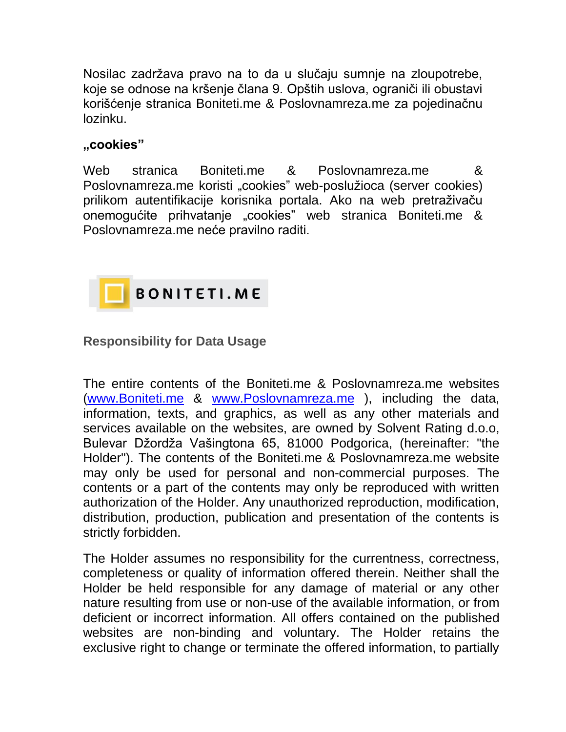Nosilac zadržava pravo na to da u slučaju sumnje na zloupotrebe, koje se odnose na kršenje člana 9. Opštih uslova, ograniči ili obustavi korišćenje stranica Boniteti.me & Poslovnamreza.me za pojedinačnu lozinku.

## **"cookies"**

Web stranica Boniteti.me & Poslovnamreza.me & Poslovnamreza.me koristi "cookies" web-poslužioca (server cookies) prilikom autentifikacije korisnika portala. Ako na web pretraživaču onemogućite prihvatanje "cookies" web stranica Boniteti.me & Poslovnamreza.me neće pravilno raditi.



## **Responsibility for Data Usage**

The entire contents of the Boniteti.me & Poslovnamreza.me websites [\(www.Boniteti.me](http://www.boniteti.me/) & [www.Poslovnamreza.me](http://www.poslovnamreza.me/) ), including the data, information, texts, and graphics, as well as any other materials and services available on the websites, are owned by Solvent Rating d.o.o, Bulevar Džordža Vašingtona 65, 81000 Podgorica, (hereinafter: "the Holder"). The contents of the Boniteti.me & Poslovnamreza.me website may only be used for personal and non-commercial purposes. The contents or a part of the contents may only be reproduced with written authorization of the Holder. Any unauthorized reproduction, modification, distribution, production, publication and presentation of the contents is strictly forbidden.

The Holder assumes no responsibility for the currentness, correctness, completeness or quality of information offered therein. Neither shall the Holder be held responsible for any damage of material or any other nature resulting from use or non-use of the available information, or from deficient or incorrect information. All offers contained on the published websites are non-binding and voluntary. The Holder retains the exclusive right to change or terminate the offered information, to partially